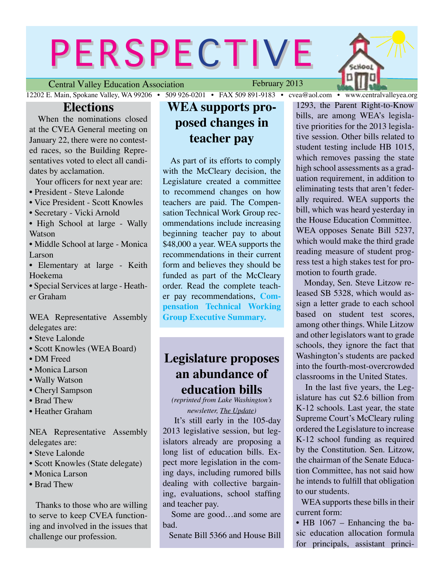# PERSPECTIVE

Central Valley Education Association

February 2013



**Elections**<br>When the nominations closed at the CVEA General meeting on January 22, there were no contested races, so the Building Representatives voted to elect all candidates by acclamation.

Your officers for next year are:

- President Steve Lalonde
- Vice President Scott Knowles
- Secretary Vicki Arnold
- High School at large Wally **Watson**
- Middle School at large Monica Larson
- Elementary at large Keith Hoekema
- Special Services at large Heather Graham

WEA Representative Assembly delegates are:

- Steve Lalonde
- Scott Knowles (WEA Board)
- DM Freed
- Monica Larson
- Wally Watson
- Cheryl Sampson
- Brad Thew
- Heather Graham

NEA Representative Assembly delegates are:

- Steve Lalonde
- Scott Knowles (State delegate)
- Monica Larson
- Brad Thew

 Thanks to those who are willing to serve to keep CVEA functioning and involved in the issues that challenge our profession.

# **WEA supports proposed changes in teacher pay**

 As part of its efforts to comply with the McCleary decision, the Legislature created a committee to recommend changes on how teachers are paid. The Compensation Technical Work Group recommendations include increasing beginning teacher pay to about \$48,000 a year. WEA supports the recommendations in their current form and believes they should be funded as part of the McCleary order. Read the complete teacher pay recommendations, **[Com](http://www.centralvalleyea.org/pages/Misc.html)[pensation Technical Working](http://www.centralvalleyea.org/pages/Misc.html)  [Group Executive Summary](http://www.centralvalleyea.org/pages/Misc.html).**

# **Legislature proposes an abundance of education bills**

*(reprinted from Lake Washington's newsletter, The Update)*

 It's still early in the 105-day 2013 legislative session, but legislators already are proposing a long list of education bills. Expect more legislation in the coming days, including rumored bills dealing with collective bargaining, evaluations, school staffing and teacher pay.

 Some are good…and some are bad.

Senate Bill 5366 and House Bill

1293, the Parent Right-to-Know bills, are among WEA's legislative priorities for the 2013 legislative session. Other bills related to student testing include HB 1015, which removes passing the state high school assessments as a graduation requirement, in addition to eliminating tests that aren't federally required. WEA supports the bill, which was heard yesterday in the House Education Committee. WEA opposes Senate Bill 5237, which would make the third grade reading measure of student progress test a high stakes test for promotion to fourth grade.

 Monday, Sen. Steve Litzow released SB 5328, which would assign a letter grade to each school based on student test scores, among other things. While Litzow and other legislators want to grade schools, they ignore the fact that Washington's students are packed into the fourth-most-overcrowded classrooms in the United States.

 In the last five years, the Legislature has cut \$2.6 billion from K-12 schools. Last year, the state Supreme Court's McCleary ruling ordered the Legislature to increase K-12 school funding as required by the Constitution. Sen. Litzow, the chairman of the Senate Education Committee, has not said how he intends to fulfill that obligation to our students.

 WEA supports these bills in their current form:

• HB 1067 – Enhancing the basic education allocation formula for principals, assistant princi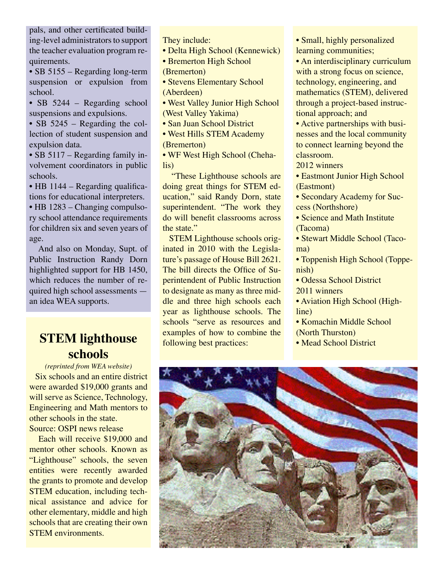pals, and other certificated building-level administrators to support the teacher evaluation program requirements.

• SB 5155 – Regarding long-term suspension or expulsion from school.

• SB 5244 – Regarding school suspensions and expulsions.

• SB 5245 – Regarding the collection of student suspension and expulsion data.

• SB 5117 – Regarding family involvement coordinators in public schools.

• HB 1144 – Regarding qualifications for educational interpreters.

• HB 1283 – Changing compulsory school attendance requirements for children six and seven years of age.

 And also on Monday, Supt. of Public Instruction Randy Dorn highlighted support for HB 1450, which reduces the number of required high school assessments an idea WEA supports.

# **STEM lighthouse schools**

*(reprinted from WEA website)* **Six schools and an entire district** were awarded \$19,000 grants and will serve as Science, Technology, Engineering and Math mentors to other schools in the state. Source: OSPI news release

 Each will receive \$19,000 and mentor other schools. Known as "Lighthouse" schools, the seven entities were recently awarded the grants to promote and develop STEM education, including technical assistance and advice for other elementary, middle and high schools that are creating their own STEM environments.

They include:

• Delta High School (Kennewick)

• Bremerton High School

(Bremerton)

- Stevens Elementary School (Aberdeen)
- West Valley Junior High School (West Valley Yakima)

• San Juan School District

• West Hills STEM Academy (Bremerton)

• WF West High School (Chehalis)

 "These Lighthouse schools are doing great things for STEM education," said Randy Dorn, state superintendent. "The work they do will benefit classrooms across the state."

 STEM Lighthouse schools originated in 2010 with the Legislature's passage of House Bill 2621. The bill directs the Office of Superintendent of Public Instruction to designate as many as three middle and three high schools each year as lighthouse schools. The schools "serve as resources and examples of how to combine the following best practices:

• Small, highly personalized learning communities;

• An interdisciplinary curriculum with a strong focus on science, technology, engineering, and mathematics (STEM), delivered through a project-based instructional approach; and

• Active partnerships with businesses and the local community to connect learning beyond the classroom.

2012 winners

• Eastmont Junior High School (Eastmont)

• Secondary Academy for Success (Northshore)

• Science and Math Institute (Tacoma)

• Stewart Middle School (Tacoma)

• Toppenish High School (Toppenish)

• Odessa School District 2011 winners

• Aviation High School (Highline)

• Komachin Middle School (North Thurston)

• Mead School District

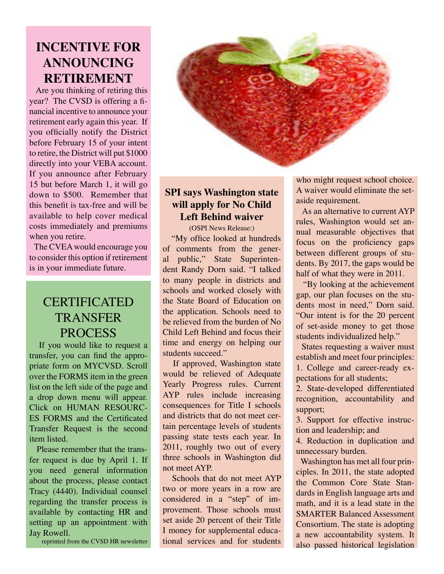# **INCENTIVE FOR ANNOUNCING RETIREMENT**

 Are you thinking of retiring this year? The CVSD is offering a financial incentive to announce your retirement early again this year. If you officially notify the District before February 15 of your intent to retire, the District will put \$1000 directly into your VEBA account. If you announce after February 15 but before March 1, it will go down to \$500. Remember that this benefit is tax-free and will be available to help cover medical costs immediately and premiums when you retire.

 The CVEA would encourage you to consider this option if retirement is in your immediate future.

# **CERTIFICATED TRANSFER** PROCESS

 If you would like to request a transfer, you can find the appropriate form on MYCVSD. Scroll over the FORMS item in the green list on the left side of the page and a drop down menu will appear. Click on HUMAN RESOURC-ES FORMS and the Certificated Transfer Request is the second item listed.

 Please remember that the transfer request is due by April 1. If you need general information about the process, please contact Tracy (4440). Individual counsel regarding the transfer process is available by contacting HR and setting up an appointment with Jay Rowell.

reprinted from the CVSD HR newsletter



### **SPI says Washington state will apply for No Child Left Behind waiver**

(OSPI News Release:)

 "My office looked at hundreds of comments from the general public," State Superintendent Randy Dorn said. "I talked to many people in districts and schools and worked closely with the State Board of Education on the application. Schools need to be relieved from the burden of No Child Left Behind and focus their time and energy on helping our students succeed."

 If approved, Washington state would be relieved of Adequate Yearly Progress rules. Current AYP rules include increasing consequences for Title I schools and districts that do not meet certain percentage levels of students passing state tests each year. In 2011, roughly two out of every three schools in Washington did not meet AYP.

 Schools that do not meet AYP two or more years in a row are considered in a "step" of improvement. Those schools must set aside 20 percent of their Title I money for supplemental educational services and for students who might request school choice. A waiver would eliminate the setaside requirement.

 As an alternative to current AYP rules, Washington would set annual measurable objectives that focus on the proficiency gaps between different groups of students. By 2017, the gaps would be half of what they were in 2011.

 "By looking at the achievement gap, our plan focuses on the students most in need," Dorn said. "Our intent is for the 20 percent of set-aside money to get those students individualized help."

 States requesting a waiver must establish and meet four principles: 1. College and career-ready expectations for all students;

2. State-developed differentiated recognition, accountability and support;

3. Support for effective instruction and leadership; and

4. Reduction in duplication and unnecessary burden.

 Washington has met all four principles. In 2011, the state adopted the Common Core State Standards in English language arts and math, and it is a lead state in the SMARTER Balanced Assessment Consortium. The state is adopting a new accountability system. It also passed historical legislation